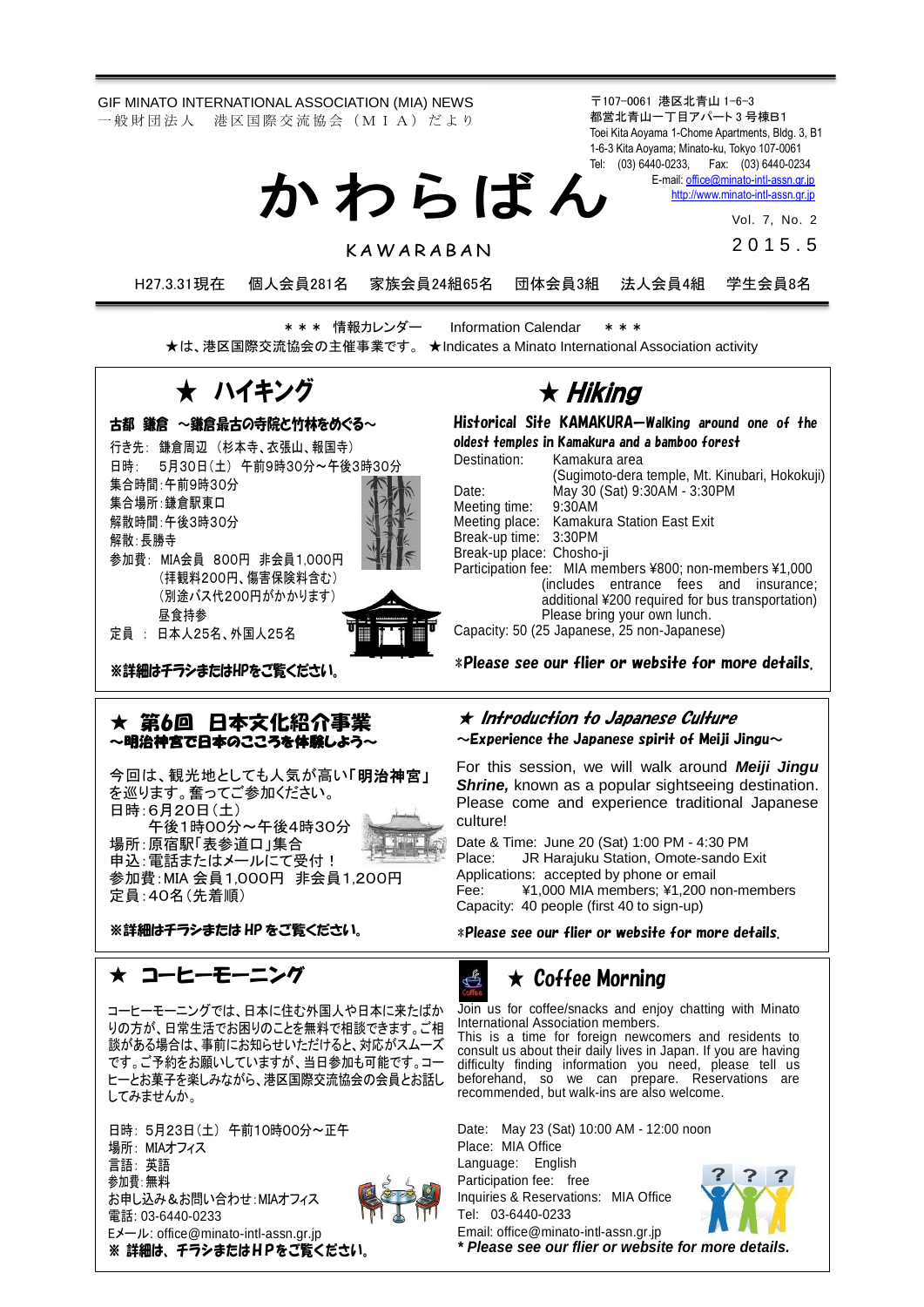GIF MINATO INTERNATIONAL ASSOCIATION (MIA) NEWS 一 般 財 団 法 人 港 区 国 際 交 流 協 会 (M I A) だ よ り

〒107-0061 港区北青山 1-6-3 都営北青山一丁目アパート 3 号棟B1 Toei Kita Aoyama 1-Chome Apartments, Bldg. 3, B1 1-6-3 Kita Aoyama; Minato-ku, Tokyo 107-0061 Tel: (03) 6440-0233, Fax: (03) 6440-0234 E-mail[: office@minato-intl-assn.gr.jp](mailto:office@minato-intl-assn.gr.jp) か わ ら ば ん

[http://www.minato-intl-assn.gr.jp](http://www.minato-intl-assn.gr.jp/)

Vol. 7, No. 2 2 0 1 5 . 5

**KAWARABAN** 

H27.3.31現在 個人会員281名 家族会員24組65名 団体会員3組 法人会員4組 学生会員8名

\* \* \* 情報カレンダー Information Calendar \* \* \* ★は、港区国際交流協会の主催事業です。 ★Indicates a Minato International Association activity

★ ハイキング

古都 鎌倉 ~鎌倉最古の寺院と竹林をめぐる~ 行き先: 鎌倉周辺 (杉本寺、衣張山、報国寺) 日時: 5月30日(土) 午前9時30分~午後3時30分 集合時間:午前9時30分 集合場所:鎌倉駅東口 解散時間:午後3時30分 解散:長勝寺

参加費: MIA会員 800円 非会員1,000円 (拝観料200円、傷害保険料含む) (別途バス代200円がかかります) 昼食持参

定員 : 日本人25名、外国人25名

 $\overline{a}$ 

※詳細はチラシまたはHPをご覧ください。

### ★ 第6回 日本文化紹介事業 ~明治神宮で日本のこころを体験しよう~

今回は、観光地としても人気が高い「明治神宮」 を巡ります。奮ってご参加ください。 日時:6月20日(土)

午後1時00分~午後4時30分 場所:原宿駅「表参道口」集合 申込: 電話またはメールにて受付! 参加費:MIA 会員1,000円 非会員1,200円 定員:40名(先着順)



※詳細はチラシまたは HP をご覧ください。

# ★ コーヒーモーニング

コーヒーモーニングでは、日本に住む外国人や日本に来たばか りの方が、日常生活でお困りのことを無料で相談できます。ご相 談がある場合は、事前にお知らせいただけると、対応がスムーズ です。ご予約をお願いしていますが、当日参加も可能です。コー ヒーとお菓子を楽しみながら、港区国際交流協会の会員とお話し してみませんか。

日時: 5月23日(土) 午前10時00分~正午 場所: MIAオフィス 言語: 英語 参加費:無料 お申し込み&お問い合わせ:MIAオフィス 電話: 03-6440-0233 Eメール: office@minato-intl-assn.gr.jp ※ 詳細は、チラシまたはHPをご覧ください。



## ★ Hiking Historical Site KAMAKURA—Walking around one of the

oldest temples in Kamakura and a bamboo forest Destination: Kamakura area (Sugimoto-dera temple, Mt. Kinubari, Hokokuji) Date: May 30 (Sat) 9:30AM - 3:30PM Meeting time:<br>Meeting place: Kamakura Station East Exit Break-up time: 3:30PM Break-up place: Chosho-ji Participation fee: MIA members ¥800; non-members ¥1,000 (includes entrance fees and insurance; additional ¥200 required for bus transportation) Please bring your own lunch. Capacity: 50 (25 Japanese, 25 non-Japanese)

\*Please see our flier or website for more details.

#### $\star$  Introduction to Japanese Culture  $\sim$ Experience the Japanese spirit of Meiji Jingu $\sim$

For this session, we will walk around *Meiji Jingu Shrine,* known as a popular sightseeing destination. Please come and experience traditional Japanese culture!

Date & Time: June 20 (Sat) 1:00 PM - 4:30 PM Place: JR Harajuku Station, Omote-sando Exit Applications: accepted by phone or email Fee: ¥1,000 MIA members; ¥1,200 non-members Capacity: 40 people (first 40 to sign-up)

\*Please see our flier or website for more details.

# $\mathbb{Z}$

# $\star$  Coffee Morning

Join us for coffee/snacks and enjoy chatting with Minato International Association members. This is a time for foreign newcomers and residents to consult us about their daily lives in Japan. If you are having difficulty finding information you need, please tell us beforehand, so we can prepare. Reservations are recommended, but walk-ins are also welcome.

Date: May 23 (Sat) 10:00 AM - 12:00 noon Place: MIA Office Language: English Participation fee: free Inquiries & Reservations: MIA Office Tel: 03-6440-0233 Email: office@minato-intl-assn.gr.jp



*\* Please see our flier or website for more details.*